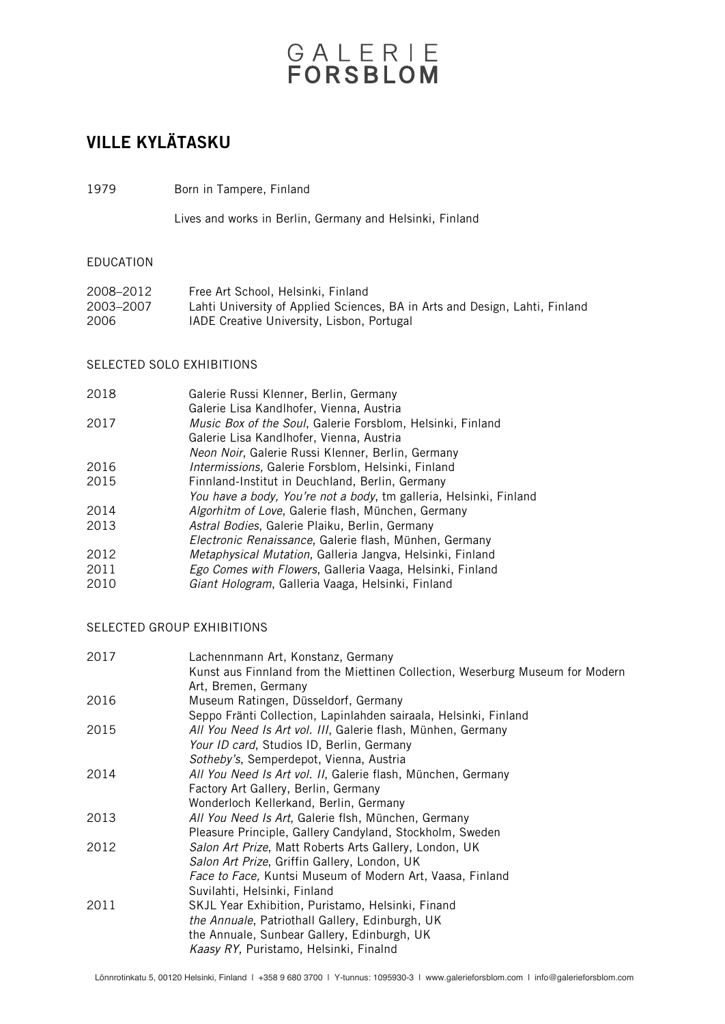# GALERIE

### VILLE KYLÄTASKU

1979 Born in Tampere, Finland

Lives and works in Berlin, Germany and Helsinki, Finland

#### EDUCATION

| 2008–2012 | Free Art School, Helsinki, Finland                                          |
|-----------|-----------------------------------------------------------------------------|
| 2003–2007 | Lahti University of Applied Sciences, BA in Arts and Design, Lahti, Finland |
| 2006      | IADE Creative University, Lisbon, Portugal                                  |

### SELECTED SOLO EXHIBITIONS

| 2018 | Galerie Russi Klenner, Berlin, Germany                             |
|------|--------------------------------------------------------------------|
|      | Galerie Lisa Kandlhofer, Vienna, Austria                           |
| 2017 | Music Box of the Soul, Galerie Forsblom, Helsinki, Finland         |
|      | Galerie Lisa Kandlhofer, Vienna, Austria                           |
|      | Neon Noir, Galerie Russi Klenner, Berlin, Germany                  |
| 2016 | <i>Intermissions</i> , Galerie Forsblom, Helsinki, Finland         |
| 2015 | Finnland-Institut in Deuchland, Berlin, Germany                    |
|      | You have a body, You're not a body, tm galleria, Helsinki, Finland |
| 2014 | Algorhitm of Love, Galerie flash, München, Germany                 |
| 2013 | Astral Bodies, Galerie Plaiku, Berlin, Germany                     |
|      | Electronic Renaissance, Galerie flash, Münhen, Germany             |
| 2012 | Metaphysical Mutation, Galleria Jangva, Helsinki, Finland          |
| 2011 | Ego Comes with Flowers, Galleria Vaaga, Helsinki, Finland          |
| 2010 | Giant Hologram, Galleria Vaaga, Helsinki, Finland                  |
|      |                                                                    |

### SELECTED GROUP EXHIBITIONS

| 2017 | Lachennmann Art, Konstanz, Germany                                            |
|------|-------------------------------------------------------------------------------|
|      | Kunst aus Finnland from the Miettinen Collection, Weserburg Museum for Modern |
|      | Art, Bremen, Germany                                                          |
| 2016 | Museum Ratingen, Düsseldorf, Germany                                          |
|      | Seppo Fränti Collection, Lapinlahden sairaala, Helsinki, Finland              |
| 2015 | All You Need Is Art vol. III, Galerie flash, Münhen, Germany                  |
|      | Your ID card, Studios ID, Berlin, Germany                                     |
|      | Sotheby's, Semperdepot, Vienna, Austria                                       |
| 2014 | All You Need Is Art vol. II, Galerie flash, München, Germany                  |
|      | Factory Art Gallery, Berlin, Germany                                          |
|      | Wonderloch Kellerkand, Berlin, Germany                                        |
| 2013 | All You Need Is Art, Galerie flsh, München, Germany                           |
|      | Pleasure Principle, Gallery Candyland, Stockholm, Sweden                      |
| 2012 | Salon Art Prize, Matt Roberts Arts Gallery, London, UK                        |
|      | Salon Art Prize, Griffin Gallery, London, UK                                  |
|      | Face to Face, Kuntsi Museum of Modern Art, Vaasa, Finland                     |
|      | Suvilahti, Helsinki, Finland                                                  |
| 2011 | SKJL Year Exhibition, Puristamo, Helsinki, Finand                             |
|      | the Annuale, Patriothall Gallery, Edinburgh, UK                               |
|      | the Annuale, Sunbear Gallery, Edinburgh, UK                                   |
|      | Kaasy RY, Puristamo, Helsinki, Finalnd                                        |